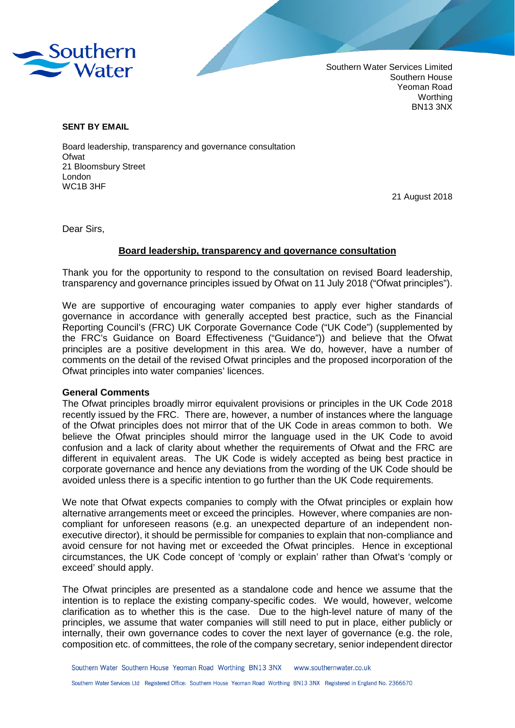

Southern Water Services Limited Southern House Yeoman Road Worthing BN13 3NX

#### **SENT BY EMAIL**

Board leadership, transparency and governance consultation **Ofwat** 21 Bloomsbury Street London WC1B 3HF

21 August 2018

Dear Sirs,

#### **Board leadership, transparency and governance consultation**

Thank you for the opportunity to respond to the consultation on revised Board leadership, transparency and governance principles issued by Ofwat on 11 July 2018 ("Ofwat principles").

We are supportive of encouraging water companies to apply ever higher standards of governance in accordance with generally accepted best practice, such as the Financial Reporting Council's (FRC) UK Corporate Governance Code ("UK Code") (supplemented by the FRC's Guidance on Board Effectiveness ("Guidance")) and believe that the Ofwat principles are a positive development in this area. We do, however, have a number of comments on the detail of the revised Ofwat principles and the proposed incorporation of the Ofwat principles into water companies' licences.

#### **General Comments**

The Ofwat principles broadly mirror equivalent provisions or principles in the UK Code 2018 recently issued by the FRC. There are, however, a number of instances where the language of the Ofwat principles does not mirror that of the UK Code in areas common to both. We believe the Ofwat principles should mirror the language used in the UK Code to avoid confusion and a lack of clarity about whether the requirements of Ofwat and the FRC are different in equivalent areas. The UK Code is widely accepted as being best practice in corporate governance and hence any deviations from the wording of the UK Code should be avoided unless there is a specific intention to go further than the UK Code requirements.

We note that Ofwat expects companies to comply with the Ofwat principles or explain how alternative arrangements meet or exceed the principles. However, where companies are noncompliant for unforeseen reasons (e.g. an unexpected departure of an independent nonexecutive director), it should be permissible for companies to explain that non-compliance and avoid censure for not having met or exceeded the Ofwat principles. Hence in exceptional circumstances, the UK Code concept of 'comply or explain' rather than Ofwat's 'comply or exceed' should apply.

The Ofwat principles are presented as a standalone code and hence we assume that the intention is to replace the existing company-specific codes. We would, however, welcome clarification as to whether this is the case. Due to the high-level nature of many of the principles, we assume that water companies will still need to put in place, either publicly or internally, their own governance codes to cover the next layer of governance (e.g. the role, composition etc. of committees, the role of the company secretary, senior independent director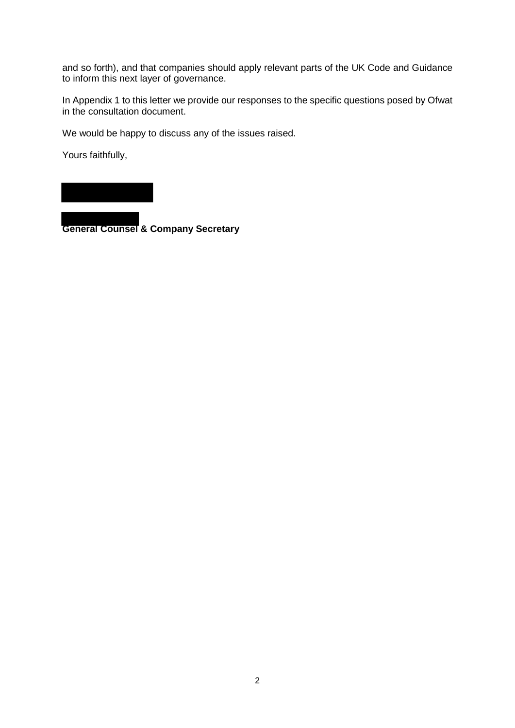and so forth), and that companies should apply relevant parts of the UK Code and Guidance to inform this next layer of governance.

In Appendix 1 to this letter we provide our responses to the specific questions posed by Ofwat in the consultation document.

We would be happy to discuss any of the issues raised.

Yours faithfully,

**General Counsel & Company Secretary**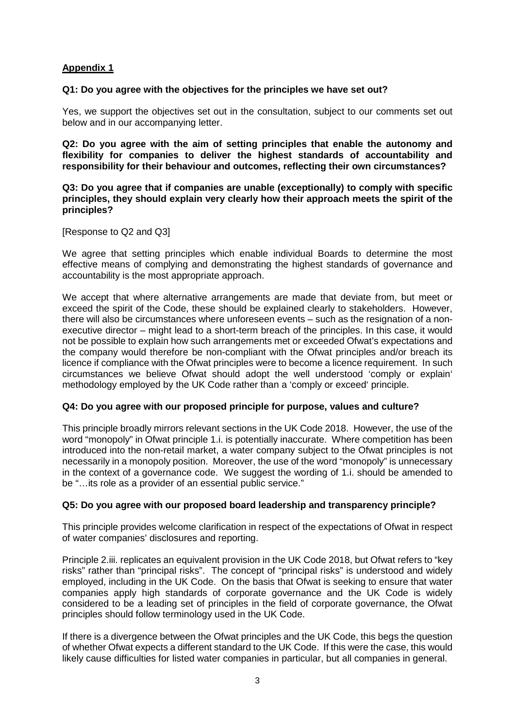# **Appendix 1**

### **Q1: Do you agree with the objectives for the principles we have set out?**

Yes, we support the objectives set out in the consultation, subject to our comments set out below and in our accompanying letter.

**Q2: Do you agree with the aim of setting principles that enable the autonomy and flexibility for companies to deliver the highest standards of accountability and responsibility for their behaviour and outcomes, reflecting their own circumstances?**

**Q3: Do you agree that if companies are unable (exceptionally) to comply with specific principles, they should explain very clearly how their approach meets the spirit of the principles?**

[Response to Q2 and Q3]

We agree that setting principles which enable individual Boards to determine the most effective means of complying and demonstrating the highest standards of governance and accountability is the most appropriate approach.

We accept that where alternative arrangements are made that deviate from, but meet or exceed the spirit of the Code, these should be explained clearly to stakeholders. However, there will also be circumstances where unforeseen events – such as the resignation of a nonexecutive director – might lead to a short-term breach of the principles. In this case, it would not be possible to explain how such arrangements met or exceeded Ofwat's expectations and the company would therefore be non-compliant with the Ofwat principles and/or breach its licence if compliance with the Ofwat principles were to become a licence requirement. In such circumstances we believe Ofwat should adopt the well understood 'comply or explain' methodology employed by the UK Code rather than a 'comply or exceed' principle.

#### **Q4: Do you agree with our proposed principle for purpose, values and culture?**

This principle broadly mirrors relevant sections in the UK Code 2018. However, the use of the word "monopoly" in Ofwat principle 1.i. is potentially inaccurate. Where competition has been introduced into the non-retail market, a water company subject to the Ofwat principles is not necessarily in a monopoly position. Moreover, the use of the word "monopoly" is unnecessary in the context of a governance code. We suggest the wording of 1.i. should be amended to be "…its role as a provider of an essential public service."

## **Q5: Do you agree with our proposed board leadership and transparency principle?**

This principle provides welcome clarification in respect of the expectations of Ofwat in respect of water companies' disclosures and reporting.

Principle 2.iii. replicates an equivalent provision in the UK Code 2018, but Ofwat refers to "key risks" rather than "principal risks". The concept of "principal risks" is understood and widely employed, including in the UK Code. On the basis that Ofwat is seeking to ensure that water companies apply high standards of corporate governance and the UK Code is widely considered to be a leading set of principles in the field of corporate governance, the Ofwat principles should follow terminology used in the UK Code.

If there is a divergence between the Ofwat principles and the UK Code, this begs the question of whether Ofwat expects a different standard to the UK Code. If this were the case, this would likely cause difficulties for listed water companies in particular, but all companies in general.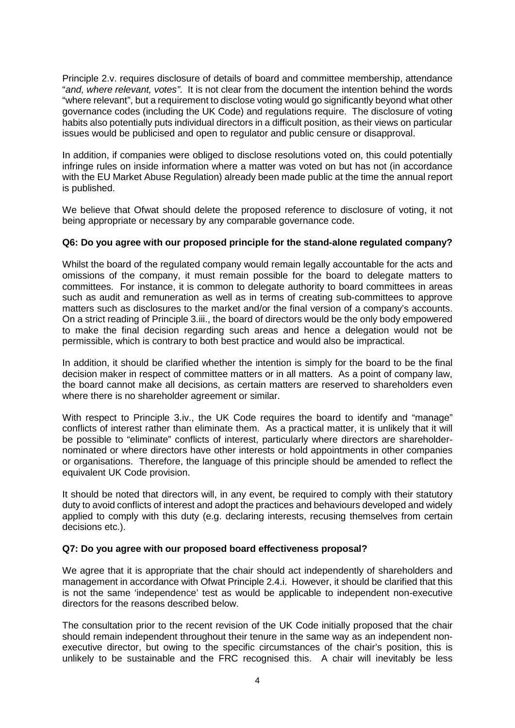Principle 2.v. requires disclosure of details of board and committee membership, attendance "*and, where relevant, votes"*. It is not clear from the document the intention behind the words "where relevant", but a requirement to disclose voting would go significantly beyond what other governance codes (including the UK Code) and regulations require. The disclosure of voting habits also potentially puts individual directors in a difficult position, as their views on particular issues would be publicised and open to regulator and public censure or disapproval.

In addition, if companies were obliged to disclose resolutions voted on, this could potentially infringe rules on inside information where a matter was voted on but has not (in accordance with the EU Market Abuse Regulation) already been made public at the time the annual report is published.

We believe that Ofwat should delete the proposed reference to disclosure of voting, it not being appropriate or necessary by any comparable governance code.

## **Q6: Do you agree with our proposed principle for the stand-alone regulated company?**

Whilst the board of the regulated company would remain legally accountable for the acts and omissions of the company, it must remain possible for the board to delegate matters to committees. For instance, it is common to delegate authority to board committees in areas such as audit and remuneration as well as in terms of creating sub-committees to approve matters such as disclosures to the market and/or the final version of a company's accounts. On a strict reading of Principle 3.iii., the board of directors would be the only body empowered to make the final decision regarding such areas and hence a delegation would not be permissible, which is contrary to both best practice and would also be impractical.

In addition, it should be clarified whether the intention is simply for the board to be the final decision maker in respect of committee matters or in all matters. As a point of company law, the board cannot make all decisions, as certain matters are reserved to shareholders even where there is no shareholder agreement or similar.

With respect to Principle 3.iv., the UK Code requires the board to identify and "manage" conflicts of interest rather than eliminate them. As a practical matter, it is unlikely that it will be possible to "eliminate" conflicts of interest, particularly where directors are shareholdernominated or where directors have other interests or hold appointments in other companies or organisations. Therefore, the language of this principle should be amended to reflect the equivalent UK Code provision.

It should be noted that directors will, in any event, be required to comply with their statutory duty to avoid conflicts of interest and adopt the practices and behaviours developed and widely applied to comply with this duty (e.g. declaring interests, recusing themselves from certain decisions etc.).

## **Q7: Do you agree with our proposed board effectiveness proposal?**

We agree that it is appropriate that the chair should act independently of shareholders and management in accordance with Ofwat Principle 2.4.i. However, it should be clarified that this is not the same 'independence' test as would be applicable to independent non-executive directors for the reasons described below.

The consultation prior to the recent revision of the UK Code initially proposed that the chair should remain independent throughout their tenure in the same way as an independent nonexecutive director, but owing to the specific circumstances of the chair's position, this is unlikely to be sustainable and the FRC recognised this. A chair will inevitably be less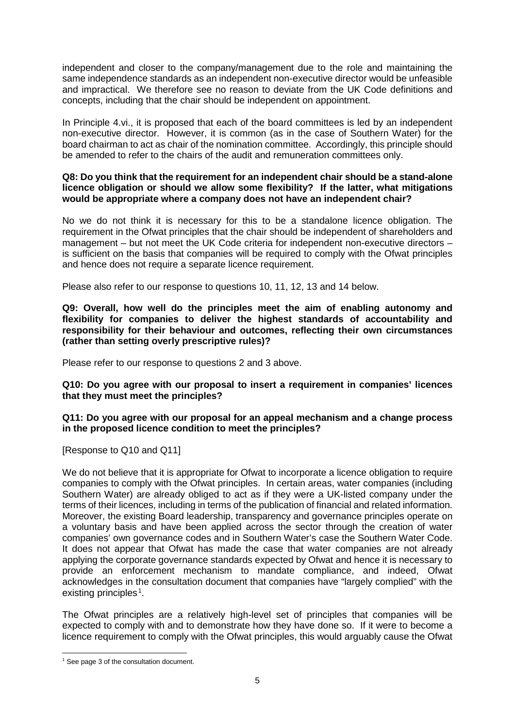independent and closer to the company/management due to the role and maintaining the same independence standards as an independent non-executive director would be unfeasible and impractical. We therefore see no reason to deviate from the UK Code definitions and concepts, including that the chair should be independent on appointment.

In Principle 4.vi., it is proposed that each of the board committees is led by an independent non-executive director. However, it is common (as in the case of Southern Water) for the board chairman to act as chair of the nomination committee. Accordingly, this principle should be amended to refer to the chairs of the audit and remuneration committees only.

### **Q8: Do you think that the requirement for an independent chair should be a stand-alone licence obligation or should we allow some flexibility? If the latter, what mitigations would be appropriate where a company does not have an independent chair?**

No we do not think it is necessary for this to be a standalone licence obligation. The requirement in the Ofwat principles that the chair should be independent of shareholders and management – but not meet the UK Code criteria for independent non-executive directors – is sufficient on the basis that companies will be required to comply with the Ofwat principles and hence does not require a separate licence requirement.

Please also refer to our response to questions 10, 11, 12, 13 and 14 below.

**Q9: Overall, how well do the principles meet the aim of enabling autonomy and flexibility for companies to deliver the highest standards of accountability and responsibility for their behaviour and outcomes, reflecting their own circumstances (rather than setting overly prescriptive rules)?**

Please refer to our response to questions 2 and 3 above.

**Q10: Do you agree with our proposal to insert a requirement in companies' licences that they must meet the principles?**

**Q11: Do you agree with our proposal for an appeal mechanism and a change process in the proposed licence condition to meet the principles?**

[Response to Q10 and Q11]

We do not believe that it is appropriate for Ofwat to incorporate a licence obligation to require companies to comply with the Ofwat principles. In certain areas, water companies (including Southern Water) are already obliged to act as if they were a UK-listed company under the terms of their licences, including in terms of the publication of financial and related information. Moreover, the existing Board leadership, transparency and governance principles operate on a voluntary basis and have been applied across the sector through the creation of water companies' own governance codes and in Southern Water's case the Southern Water Code. It does not appear that Ofwat has made the case that water companies are not already applying the corporate governance standards expected by Ofwat and hence it is necessary to provide an enforcement mechanism to mandate compliance, and indeed, Ofwat acknowledges in the consultation document that companies have "largely complied" with the existing principles.<sup>1</sup>.

The Ofwat principles are a relatively high-level set of principles that companies will be expected to comply with and to demonstrate how they have done so. If it were to become a licence requirement to comply with the Ofwat principles, this would arguably cause the Ofwat

<sup>&</sup>lt;sup>1</sup> See page 3 of the consultation document.  $\overline{\phantom{a}}$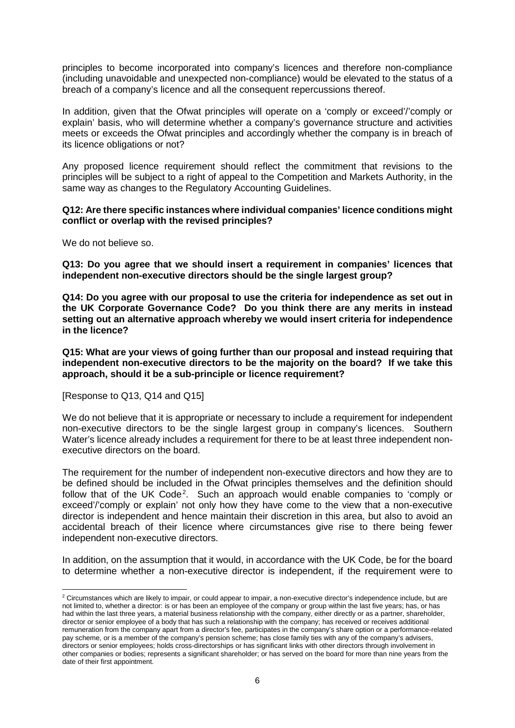principles to become incorporated into company's licences and therefore non-compliance (including unavoidable and unexpected non-compliance) would be elevated to the status of a breach of a company's licence and all the consequent repercussions thereof.

In addition, given that the Ofwat principles will operate on a 'comply or exceed'/'comply or explain' basis, who will determine whether a company's governance structure and activities meets or exceeds the Ofwat principles and accordingly whether the company is in breach of its licence obligations or not?

Any proposed licence requirement should reflect the commitment that revisions to the principles will be subject to a right of appeal to the Competition and Markets Authority, in the same way as changes to the Regulatory Accounting Guidelines.

#### **Q12: Are there specific instances where individual companies' licence conditions might conflict or overlap with the revised principles?**

We do not believe so.

**Q13: Do you agree that we should insert a requirement in companies' licences that independent non-executive directors should be the single largest group?**

**Q14: Do you agree with our proposal to use the criteria for independence as set out in the UK Corporate Governance Code? Do you think there are any merits in instead setting out an alternative approach whereby we would insert criteria for independence in the licence?**

**Q15: What are your views of going further than our proposal and instead requiring that independent non-executive directors to be the majority on the board? If we take this approach, should it be a sub-principle or licence requirement?** 

[Response to Q13, Q14 and Q15]

We do not believe that it is appropriate or necessary to include a requirement for independent non-executive directors to be the single largest group in company's licences. Southern Water's licence already includes a requirement for there to be at least three independent nonexecutive directors on the board.

The requirement for the number of independent non-executive directors and how they are to be defined should be included in the Ofwat principles themselves and the definition should follow that of the UK Code<sup>2</sup>. Such an approach would enable companies to 'comply or exceed'/'comply or explain' not only how they have come to the view that a non-executive director is independent and hence maintain their discretion in this area, but also to avoid an accidental breach of their licence where circumstances give rise to there being fewer independent non-executive directors.

In addition, on the assumption that it would, in accordance with the UK Code, be for the board to determine whether a non-executive director is independent, if the requirement were to

 $2$  Circumstances which are likely to impair, or could appear to impair, a non-executive director's independence include, but are not limited to, whether a director: is or has been an employee of the company or group within the last five years; has, or has had within the last three years, a material business relationship with the company, either directly or as a partner, shareholder, director or senior employee of a body that has such a relationship with the company; has received or receives additional remuneration from the company apart from a director's fee, participates in the company's share option or a performance-related pay scheme, or is a member of the company's pension scheme; has close family ties with any of the company's advisers, directors or senior employees; holds cross-directorships or has significant links with other directors through involvement in other companies or bodies; represents a significant shareholder; or has served on the board for more than nine years from the date of their first appointment. **.**